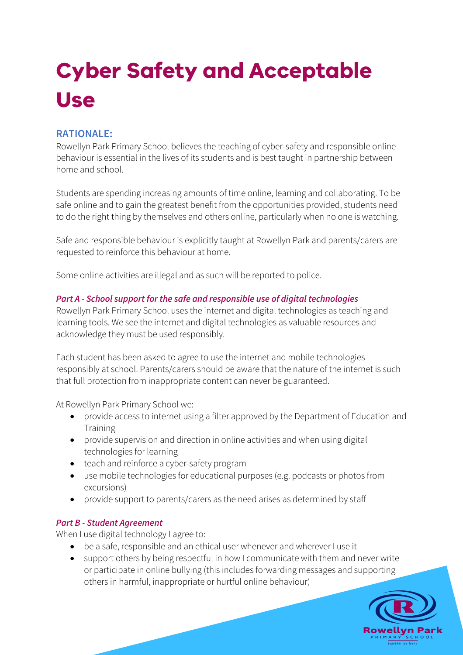# **Cyber Safety and Acceptable Use**

## **RATIONALE:**

Rowellyn Park Primary School believes the teaching of cyber-safety and responsible online behaviour is essential in the lives of its students and is best taught in partnership between home and school.

Students are spending increasing amounts of time online, learning and collaborating. To be safe online and to gain the greatest benefit from the opportunities provided, students need to do the right thing by themselves and others online, particularly when no one is watching.

Safe and responsible behaviour is explicitly taught at Rowellyn Park and parents/carers are requested to reinforce this behaviour at home.

Some online activities are illegal and as such will be reported to police.

#### *Part A - School support for the safe and responsible use of digital technologies*

Rowellyn Park Primary School uses the internet and digital technologies as teaching and learning tools. We see the internet and digital technologies as valuable resources and acknowledge they must be used responsibly.

Each student has been asked to agree to use the internet and mobile technologies responsibly at school. Parents/carers should be aware that the nature of the internet is such that full protection from inappropriate content can never be guaranteed.

At Rowellyn Park Primary School we:

- provide access to internet using a filter approved by the Department of Education and **Training**
- provide supervision and direction in online activities and when using digital technologies for learning
- teach and reinforce a cyber-safety program
- use mobile technologies for educational purposes (e.g. podcasts or photos from excursions)
- provide support to parents/carers as the need arises as determined by staff

#### *Part B - Student Agreement*

When I use digital technology I agree to:

- be a safe, responsible and an ethical user whenever and wherever I use it
- support others by being respectful in how I communicate with them and never write or participate in online bullying (this includes forwarding messages and supporting others in harmful, inappropriate or hurtful online behaviour)

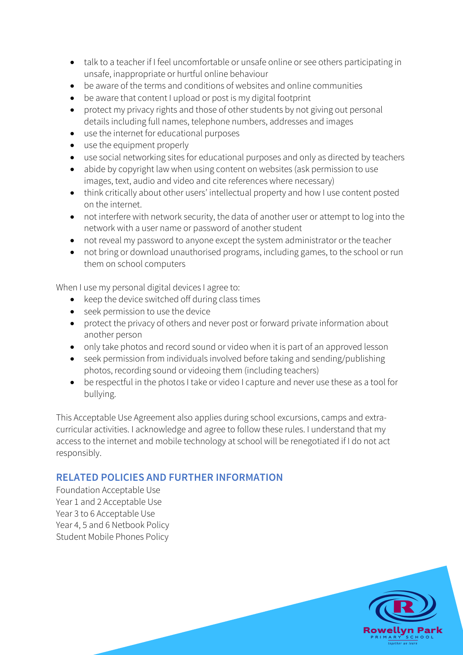- talk to a teacher if I feel uncomfortable or unsafe online or see others participating in unsafe, inappropriate or hurtful online behaviour
- be aware of the terms and conditions of websites and online communities
- be aware that content I upload or post is my digital footprint
- protect my privacy rights and those of other students by not giving out personal details including full names, telephone numbers, addresses and images
- use the internet for educational purposes
- use the equipment properly
- use social networking sites for educational purposes and only as directed by teachers
- abide by copyright law when using content on websites (ask permission to use images, text, audio and video and cite references where necessary)
- think critically about other users' intellectual property and how I use content posted on the internet.
- not interfere with network security, the data of another user or attempt to log into the network with a user name or password of another student
- not reveal my password to anyone except the system administrator or the teacher
- not bring or download unauthorised programs, including games, to the school or run them on school computers

When I use my personal digital devices I agree to:

- keep the device switched off during class times
- seek permission to use the device
- protect the privacy of others and never post or forward private information about another person
- only take photos and record sound or video when it is part of an approved lesson
- seek permission from individuals involved before taking and sending/publishing photos, recording sound or videoing them (including teachers)
- be respectful in the photos I take or video I capture and never use these as a tool for bullying.

This Acceptable Use Agreement also applies during school excursions, camps and extracurricular activities. I acknowledge and agree to follow these rules. I understand that my access to the internet and mobile technology at school will be renegotiated if I do not act responsibly.

### **RELATED POLICIES AND FURTHER INFORMATION**

Foundation Acceptable Use Year 1 and 2 Acceptable Use Year 3 to 6 Acceptable Use Year 4, 5 and 6 Netbook Policy Student Mobile Phones Policy